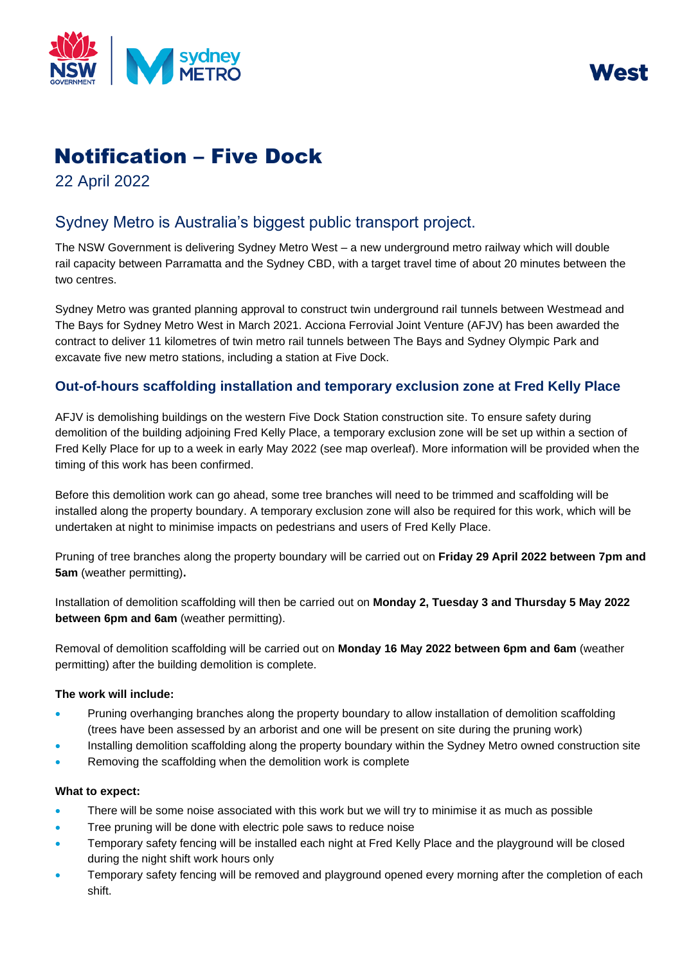



# Notification – Five Dock

22 April 2022

## Sydney Metro is Australia's biggest public transport project.

The NSW Government is delivering Sydney Metro West – a new underground metro railway which will double rail capacity between Parramatta and the Sydney CBD, with a target travel time of about 20 minutes between the two centres.

Sydney Metro was granted planning approval to construct twin underground rail tunnels between Westmead and The Bays for Sydney Metro West in March 2021. Acciona Ferrovial Joint Venture (AFJV) has been awarded the contract to deliver 11 kilometres of twin metro rail tunnels between The Bays and Sydney Olympic Park and excavate five new metro stations, including a station at Five Dock.

### **Out-of-hours scaffolding installation and temporary exclusion zone at Fred Kelly Place**

AFJV is demolishing buildings on the western Five Dock Station construction site. To ensure safety during demolition of the building adjoining Fred Kelly Place, a temporary exclusion zone will be set up within a section of Fred Kelly Place for up to a week in early May 2022 (see map overleaf). More information will be provided when the timing of this work has been confirmed.

Before this demolition work can go ahead, some tree branches will need to be trimmed and scaffolding will be installed along the property boundary. A temporary exclusion zone will also be required for this work, which will be undertaken at night to minimise impacts on pedestrians and users of Fred Kelly Place.

Pruning of tree branches along the property boundary will be carried out on **Friday 29 April 2022 between 7pm and 5am** (weather permitting)**.** 

Installation of demolition scaffolding will then be carried out on **Monday 2, Tuesday 3 and Thursday 5 May 2022 between 6pm and 6am** (weather permitting).

Removal of demolition scaffolding will be carried out on **Monday 16 May 2022 between 6pm and 6am** (weather permitting) after the building demolition is complete.

#### **The work will include:**

- Pruning overhanging branches along the property boundary to allow installation of demolition scaffolding (trees have been assessed by an arborist and one will be present on site during the pruning work)
- Installing demolition scaffolding along the property boundary within the Sydney Metro owned construction site
- Removing the scaffolding when the demolition work is complete

#### **What to expect:**

- There will be some noise associated with this work but we will try to minimise it as much as possible
- Tree pruning will be done with electric pole saws to reduce noise
- Temporary safety fencing will be installed each night at Fred Kelly Place and the playground will be closed during the night shift work hours only
- Temporary safety fencing will be removed and playground opened every morning after the completion of each shift.